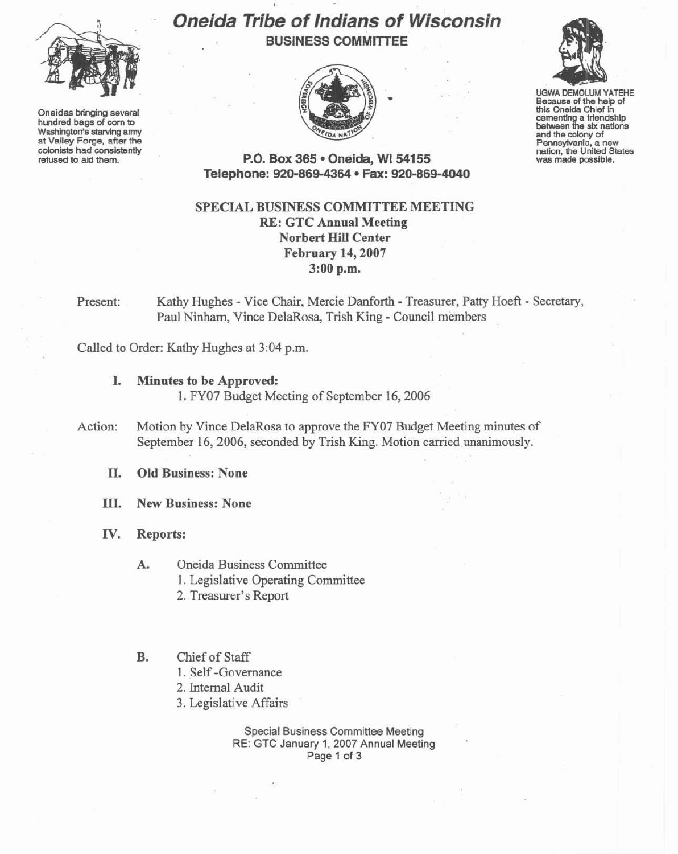

Oneidas bringing several hundred bags of com to Washington's starving army at Valley Forge, after the colonists had consistently refused to aid them.

# Oneida Tribe of Indians of Wisconsin **BUSINESS COMMITTEE**





UGWA DEMOLUM YATEHE Because of the help of this Oneida Chief in cementing a friendshlp<br>between the six nations and the colony of<br>Pennsylvania, a new nation, the United States<br>was made possible.

P.O. Box 365 · Oneida, WI 54155 Telephone: 920-869-4364 · Fax: 920-869-4040

## SPECIAL BUSINESS COMMITTEE MEETING RE: GTC Annual Meeting Norbert Hill Center February 14, 2007 3:00 p.m.

Present: Kathy Hughes - Vice Chair, Mercie Danforth - Treasurer, Patty Hoeft - Secretary, Paul Ninham, Vince DelaRosa, Trish King - Council members

Called to Order: Kathy Hughes at 3:04 p.m.

## I. Minutes to be Approved:

1. FY07 Budget Meeting of September 16,2006

Action: Motion by Vince DelaRosa to approve the FY07 Budget Meeting minutes of September 16,2006. seconded by Trish King. Motion carried unanimously.

II. Old Business: None

III. New Business: None

## IV. Reports:

A. Oneida Business Committee

I. Legislative Operating Committee

- 2. Treasurer's Report
- B. Chief of Staff
	- 1. Self -Governance
	- 2. Internal Audit

3. Legislative Affairs

#### Special Business Committee Meeting RE: GTC January 1, 2007 Annual Meeting Page 1 of 3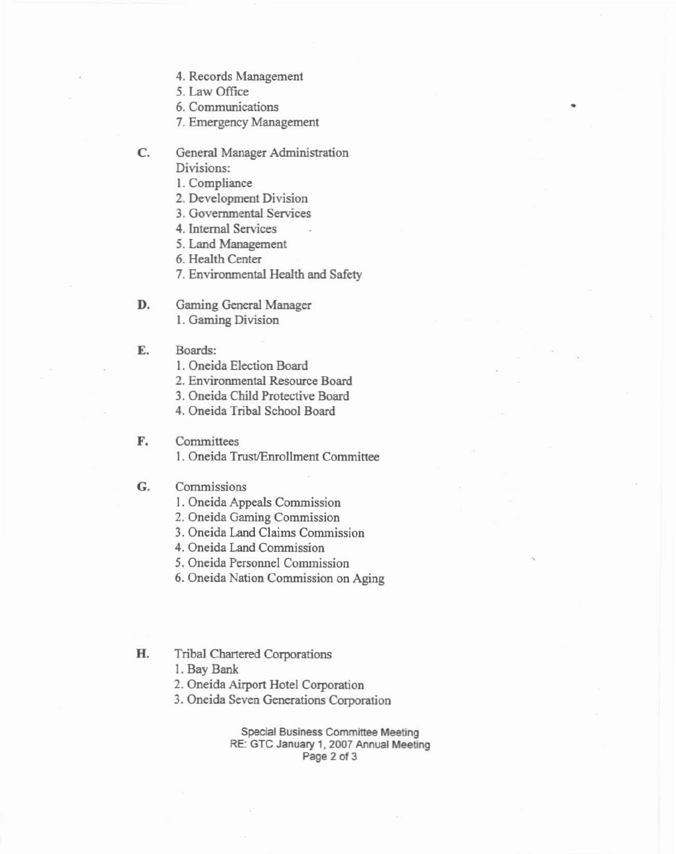- 4. Records Management
- 5. Law Office
- 6. Communications •
- 7. Emergency Management
- C. General Manager Administration Divisions:
	- I. Compliance
	- 2. Development Division
	- 3. Governmental Services
	- 4. Internal Services
	- 5. Land Management
	- 6. Health Center
	- 7. Environmental Health and Safety
- D. Gaming General Manager 1. Gaming Division
- E. Boards:
	- I. Oneida Election Board
	- 2. Environmental Resource Board
	- 3. Oneida Child Protective Board
	- 4. Oneida Tribal School Board

## F. Committees

1. Oneida Trust/Enrollment Committee

## G. Commissions

- 1. Oneida Appeals Commission
- 2. Oneida Gaming Commission
- 3. Oneida Land Claims Commission
- 4. Oneida Land Commission
- 5. Oneida Personnel Commission
- 6. Oneida Nation Commission on Aging
- H. Tribal Chartered Corporations
	- I. Bay Bank
	- 2. Oneida Airport Hotel Corporation
	- 3. Oneida Seven Generations Corporation

#### Special Business Committee Meeting RE: GTC January 1, 2007 Annual Meeting Page 2 of 3